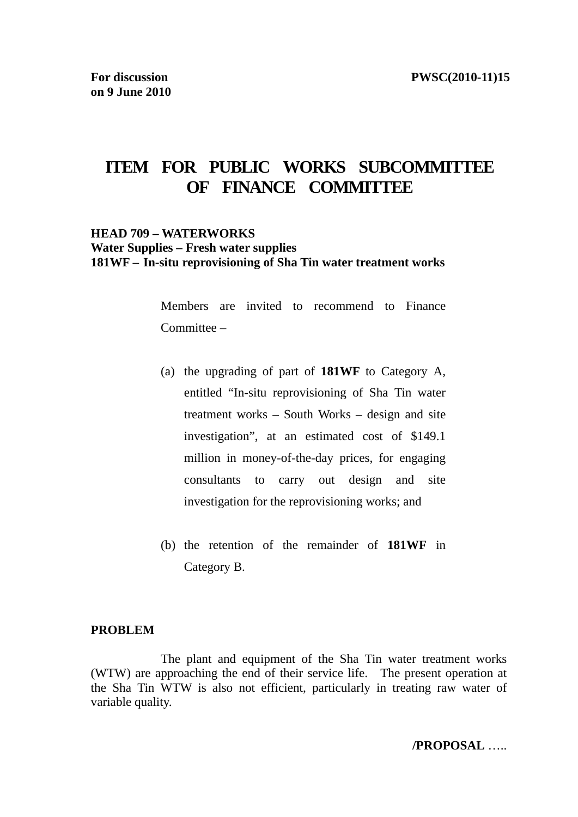# **ITEM FOR PUBLIC WORKS SUBCOMMITTEE OF FINANCE COMMITTEE**

#### **HEAD 709 – WATERWORKS Water Supplies – Fresh water supplies 181WF – In-situ reprovisioning of Sha Tin water treatment works**

Members are invited to recommend to Finance Committee –

- (a) the upgrading of part of **181WF** to Category A, entitled "In-situ reprovisioning of Sha Tin water treatment works – South Works – design and site investigation", at an estimated cost of \$149.1 million in money-of-the-day prices, for engaging consultants to carry out design and site investigation for the reprovisioning works; and
- (b) the retention of the remainder of **181WF** in Category B.

#### **PROBLEM**

 The plant and equipment of the Sha Tin water treatment works (WTW) are approaching the end of their service life. The present operation at the Sha Tin WTW is also not efficient, particularly in treating raw water of variable quality.

**/PROPOSAL** …..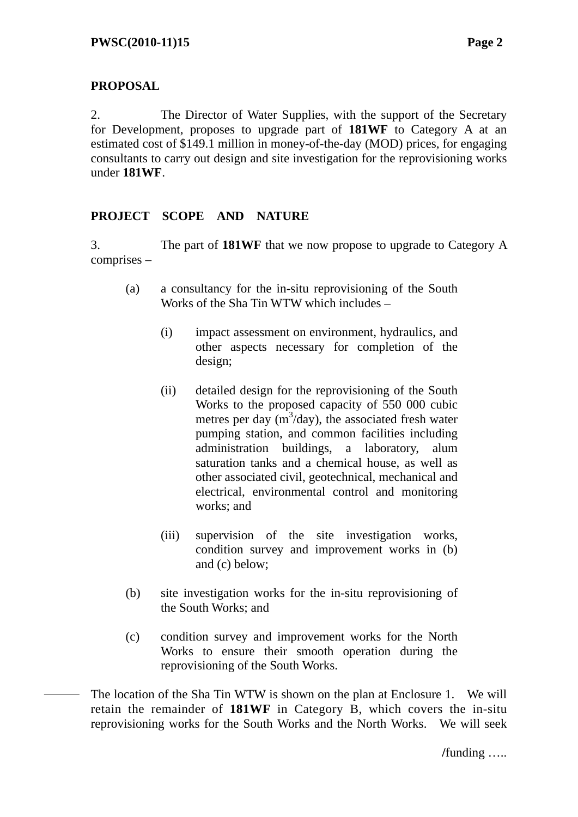# **PROPOSAL**

2. The Director of Water Supplies, with the support of the Secretary for Development, proposes to upgrade part of **181WF** to Category A at an estimated cost of \$149.1 million in money-of-the-day (MOD) prices, for engaging consultants to carry out design and site investigation for the reprovisioning works under **181WF**.

### **PROJECT SCOPE AND NATURE**

3. The part of **181WF** that we now propose to upgrade to Category A comprises –

- (a) a consultancy for the in-situ reprovisioning of the South Works of the Sha Tin WTW which includes –
	- (i) impact assessment on environment, hydraulics, and other aspects necessary for completion of the design;
	- (ii) detailed design for the reprovisioning of the South Works to the proposed capacity of 550 000 cubic metres per day  $(m^3/day)$ , the associated fresh water pumping station, and common facilities including administration buildings, a laboratory, alum saturation tanks and a chemical house, as well as other associated civil, geotechnical, mechanical and electrical, environmental control and monitoring works; and
	- (iii) supervision of the site investigation works, condition survey and improvement works in (b) and (c) below;
- (b) site investigation works for the in-situ reprovisioning of the South Works; and
- (c) condition survey and improvement works for the North Works to ensure their smooth operation during the reprovisioning of the South Works.

The location of the Sha Tin WTW is shown on the plan at Enclosure 1. We will retain the remainder of **181WF** in Category B, which covers the in-situ reprovisioning works for the South Works and the North Works. We will seek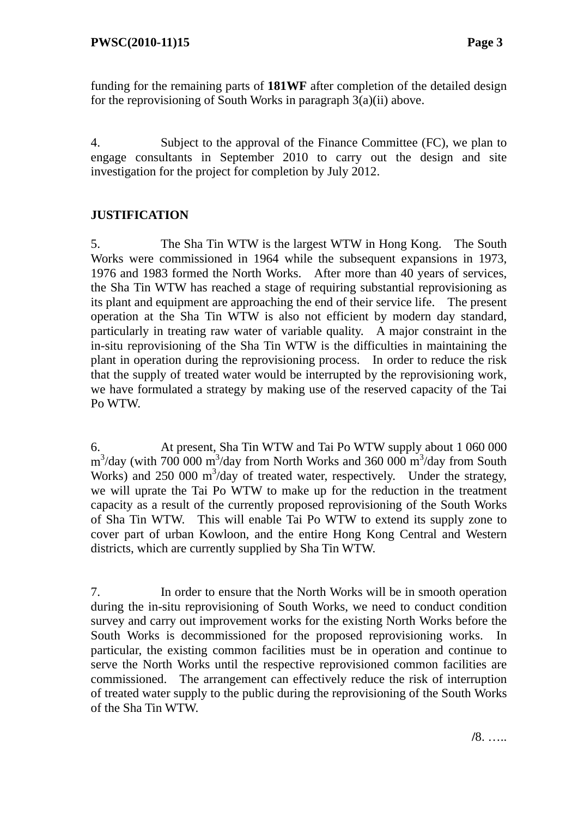funding for the remaining parts of **181WF** after completion of the detailed design for the reprovisioning of South Works in paragraph 3(a)(ii) above.

4. Subject to the approval of the Finance Committee (FC), we plan to engage consultants in September 2010 to carry out the design and site investigation for the project for completion by July 2012.

# **JUSTIFICATION**

5. The Sha Tin WTW is the largest WTW in Hong Kong. The South Works were commissioned in 1964 while the subsequent expansions in 1973, 1976 and 1983 formed the North Works. After more than 40 years of services, the Sha Tin WTW has reached a stage of requiring substantial reprovisioning as its plant and equipment are approaching the end of their service life. The present operation at the Sha Tin WTW is also not efficient by modern day standard, particularly in treating raw water of variable quality. A major constraint in the in-situ reprovisioning of the Sha Tin WTW is the difficulties in maintaining the plant in operation during the reprovisioning process. In order to reduce the risk that the supply of treated water would be interrupted by the reprovisioning work, we have formulated a strategy by making use of the reserved capacity of the Tai Po WTW.

6. At present, Sha Tin WTW and Tai Po WTW supply about 1 060 000  $\text{m}^3/\text{day}$  (with 700 000 m<sup>3</sup>/day from North Works and 360 000 m<sup>3</sup>/day from South Works) and 250 000 m<sup>3</sup>/day of treated water, respectively. Under the strategy, we will uprate the Tai Po WTW to make up for the reduction in the treatment capacity as a result of the currently proposed reprovisioning of the South Works of Sha Tin WTW. This will enable Tai Po WTW to extend its supply zone to cover part of urban Kowloon, and the entire Hong Kong Central and Western districts, which are currently supplied by Sha Tin WTW.

7. In order to ensure that the North Works will be in smooth operation during the in-situ reprovisioning of South Works, we need to conduct condition survey and carry out improvement works for the existing North Works before the South Works is decommissioned for the proposed reprovisioning works. In particular, the existing common facilities must be in operation and continue to serve the North Works until the respective reprovisioned common facilities are commissioned. The arrangement can effectively reduce the risk of interruption of treated water supply to the public during the reprovisioning of the South Works of the Sha Tin WTW.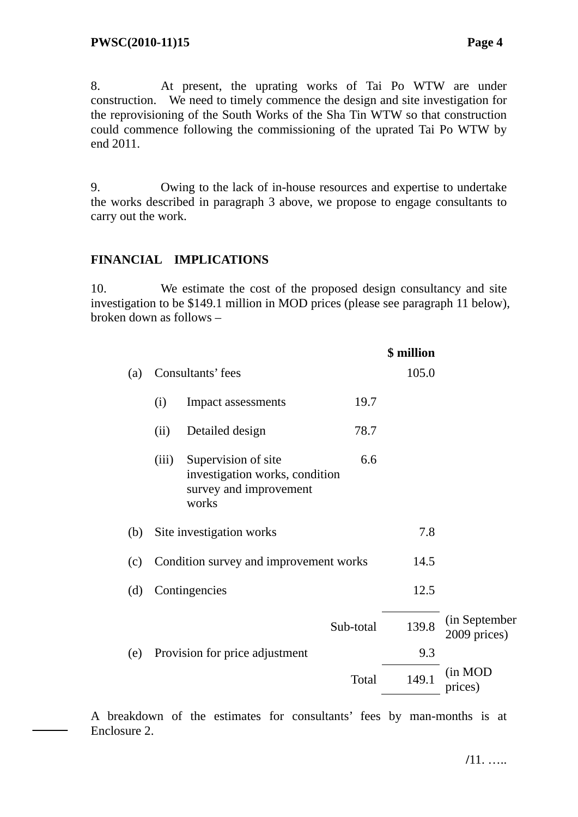8. At present, the uprating works of Tai Po WTW are under construction. We need to timely commence the design and site investigation for the reprovisioning of the South Works of the Sha Tin WTW so that construction could commence following the commissioning of the uprated Tai Po WTW by end 2011.

9. Owing to the lack of in-house resources and expertise to undertake the works described in paragraph 3 above, we propose to engage consultants to carry out the work.

#### **FINANCIAL IMPLICATIONS**

10. We estimate the cost of the proposed design consultancy and site investigation to be \$149.1 million in MOD prices (please see paragraph 11 below), broken down as follows –

|     |                                        |                                                                                          | \$ million |       |                               |
|-----|----------------------------------------|------------------------------------------------------------------------------------------|------------|-------|-------------------------------|
| (a) | Consultants' fees                      |                                                                                          |            | 105.0 |                               |
|     | (i)                                    | Impact assessments                                                                       | 19.7       |       |                               |
|     | (ii)                                   | Detailed design                                                                          | 78.7       |       |                               |
|     | (iii)                                  | Supervision of site<br>investigation works, condition<br>survey and improvement<br>works | 6.6        |       |                               |
| (b) |                                        | Site investigation works                                                                 |            | 7.8   |                               |
| (c) | Condition survey and improvement works |                                                                                          |            | 14.5  |                               |
| (d) |                                        | Contingencies                                                                            |            | 12.5  |                               |
|     |                                        |                                                                                          | Sub-total  | 139.8 | (in September<br>2009 prices) |
| (e) |                                        | Provision for price adjustment                                                           |            | 9.3   |                               |
|     |                                        |                                                                                          | Total      | 149.1 | (in MOD<br>prices)            |
|     |                                        |                                                                                          |            |       |                               |

A breakdown of the estimates for consultants' fees by man-months is at Enclosure 2.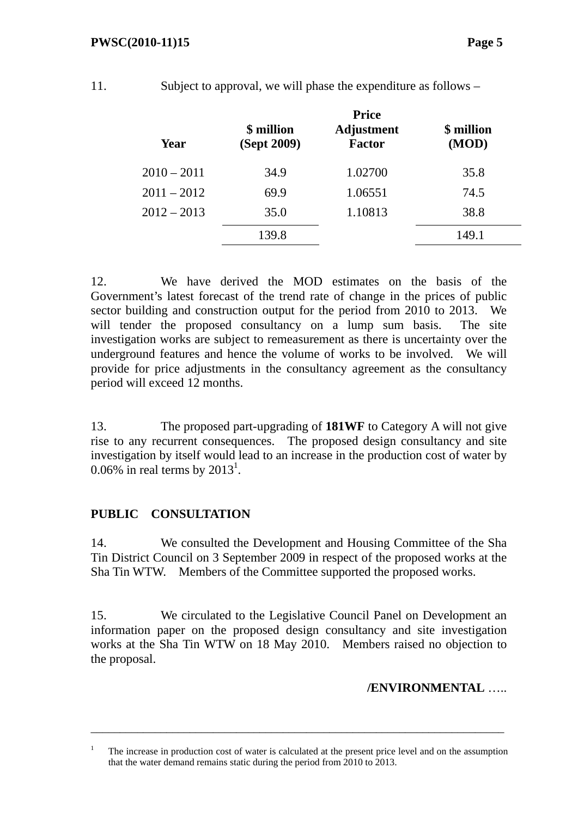#### **PWSC(2010-11)15** Page 5

| ۳ |        |
|---|--------|
|   | $\sim$ |

Subject to approval, we will phase the expenditure as follows  $-$ 

|               | <b>Price</b>              |                             |                     |  |
|---------------|---------------------------|-----------------------------|---------------------|--|
| Year          | \$ million<br>(Sept 2009) | <b>Adjustment</b><br>Factor | \$ million<br>(MOD) |  |
| $2010 - 2011$ | 34.9                      | 1.02700                     | 35.8                |  |
| $2011 - 2012$ | 69.9                      | 1.06551                     | 74.5                |  |
| $2012 - 2013$ | 35.0                      | 1.10813                     | 38.8                |  |
|               | 139.8                     |                             | 149.1               |  |

12. We have derived the MOD estimates on the basis of the Government's latest forecast of the trend rate of change in the prices of public sector building and construction output for the period from 2010 to 2013. We will tender the proposed consultancy on a lump sum basis. The site investigation works are subject to remeasurement as there is uncertainty over the underground features and hence the volume of works to be involved. We will provide for price adjustments in the consultancy agreement as the consultancy period will exceed 12 months.

13. The proposed part-upgrading of **181WF** to Category A will not give rise to any recurrent consequences. The proposed design consultancy and site investigation by itself would lead to an increase in the production cost of water by  $0.06\%$  in real terms by  $2013^1$ .

### **PUBLIC CONSULTATION**

14. We consulted the Development and Housing Committee of the Sha Tin District Council on 3 September 2009 in respect of the proposed works at the Sha Tin WTW. Members of the Committee supported the proposed works.

15. We circulated to the Legislative Council Panel on Development an information paper on the proposed design consultancy and site investigation works at the Sha Tin WTW on 18 May 2010. Members raised no objection to the proposal.

### **/ENVIRONMENTAL** …..

\_\_\_\_\_\_\_\_\_\_\_\_\_\_\_\_\_\_\_\_\_\_\_\_\_\_\_\_\_\_\_\_\_\_\_\_\_\_\_\_\_\_\_\_\_\_\_\_\_\_\_\_\_\_\_\_\_\_\_\_\_\_\_\_\_\_\_\_\_\_\_

<sup>1</sup> The increase in production cost of water is calculated at the present price level and on the assumption that the water demand remains static during the period from 2010 to 2013.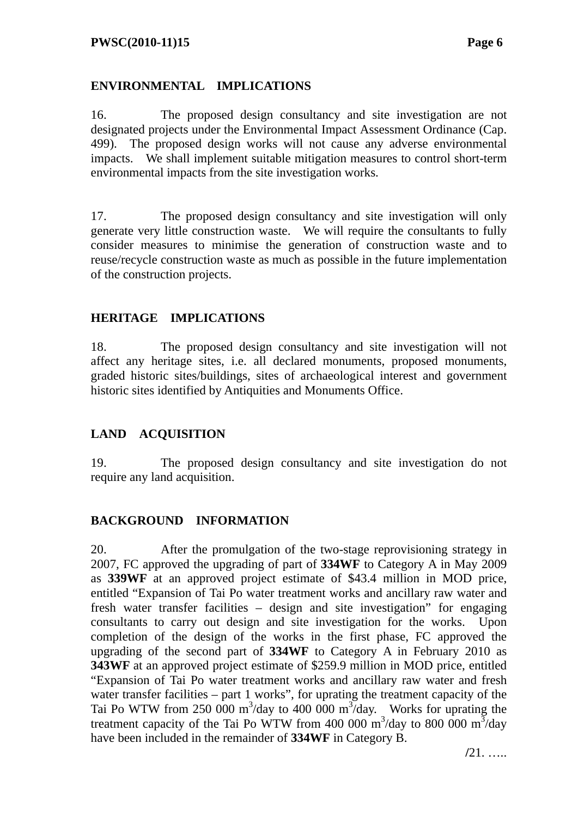#### **ENVIRONMENTAL IMPLICATIONS**

16. The proposed design consultancy and site investigation are not designated projects under the Environmental Impact Assessment Ordinance (Cap. 499). The proposed design works will not cause any adverse environmental impacts. We shall implement suitable mitigation measures to control short-term environmental impacts from the site investigation works.

17. The proposed design consultancy and site investigation will only generate very little construction waste. We will require the consultants to fully consider measures to minimise the generation of construction waste and to reuse/recycle construction waste as much as possible in the future implementation of the construction projects.

#### **HERITAGE IMPLICATIONS**

18. The proposed design consultancy and site investigation will not affect any heritage sites, i.e. all declared monuments, proposed monuments, graded historic sites/buildings, sites of archaeological interest and government historic sites identified by Antiquities and Monuments Office.

### **LAND ACQUISITION**

19. The proposed design consultancy and site investigation do not require any land acquisition.

### **BACKGROUND INFORMATION**

20. After the promulgation of the two-stage reprovisioning strategy in 2007, FC approved the upgrading of part of **334WF** to Category A in May 2009 as **339WF** at an approved project estimate of \$43.4 million in MOD price, entitled "Expansion of Tai Po water treatment works and ancillary raw water and fresh water transfer facilities – design and site investigation" for engaging consultants to carry out design and site investigation for the works. Upon completion of the design of the works in the first phase, FC approved the upgrading of the second part of **334WF** to Category A in February 2010 as **343WF** at an approved project estimate of \$259.9 million in MOD price, entitled "Expansion of Tai Po water treatment works and ancillary raw water and fresh water transfer facilities – part 1 works", for uprating the treatment capacity of the Tai Po WTW from 250 000 m<sup>3</sup>/day to 400 000 m<sup>3</sup>/day. Works for uprating the treatment capacity of the Tai Po WTW from 400 000 m<sup>3</sup>/day to 800 000 m<sup>3</sup>/day have been included in the remainder of **334WF** in Category B.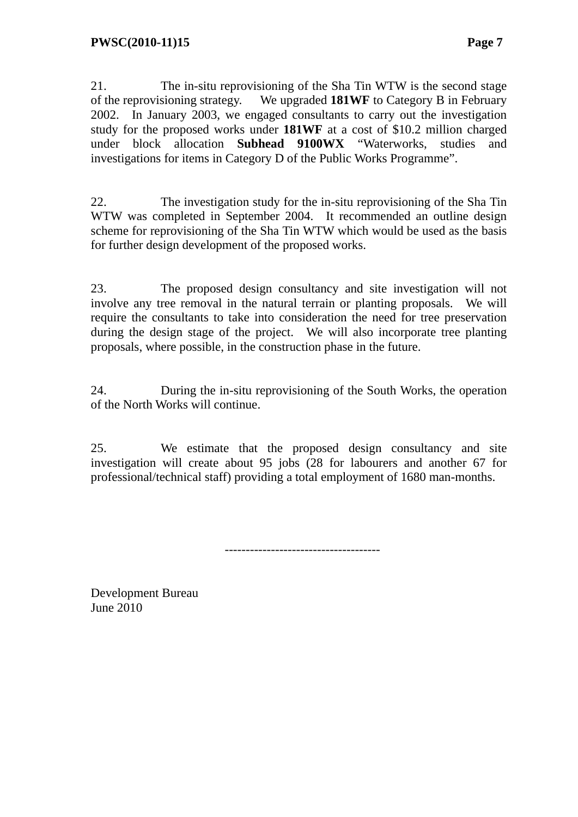21. The in-situ reprovisioning of the Sha Tin WTW is the second stage of the reprovisioning strategy. We upgraded **181WF** to Category B in February 2002. In January 2003, we engaged consultants to carry out the investigation study for the proposed works under **181WF** at a cost of \$10.2 million charged under block allocation **Subhead 9100WX** "Waterworks, studies and investigations for items in Category D of the Public Works Programme".

22. The investigation study for the in-situ reprovisioning of the Sha Tin WTW was completed in September 2004. It recommended an outline design scheme for reprovisioning of the Sha Tin WTW which would be used as the basis for further design development of the proposed works.

23. The proposed design consultancy and site investigation will not involve any tree removal in the natural terrain or planting proposals. We will require the consultants to take into consideration the need for tree preservation during the design stage of the project. We will also incorporate tree planting proposals, where possible, in the construction phase in the future.

24. During the in-situ reprovisioning of the South Works, the operation of the North Works will continue.

25. We estimate that the proposed design consultancy and site investigation will create about 95 jobs (28 for labourers and another 67 for professional/technical staff) providing a total employment of 1680 man-months.

-------------------------------------

Development Bureau June 2010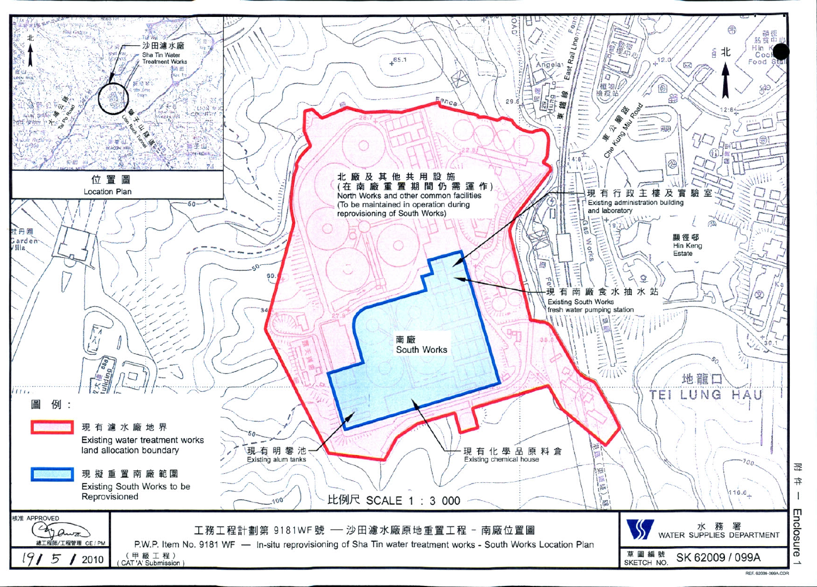